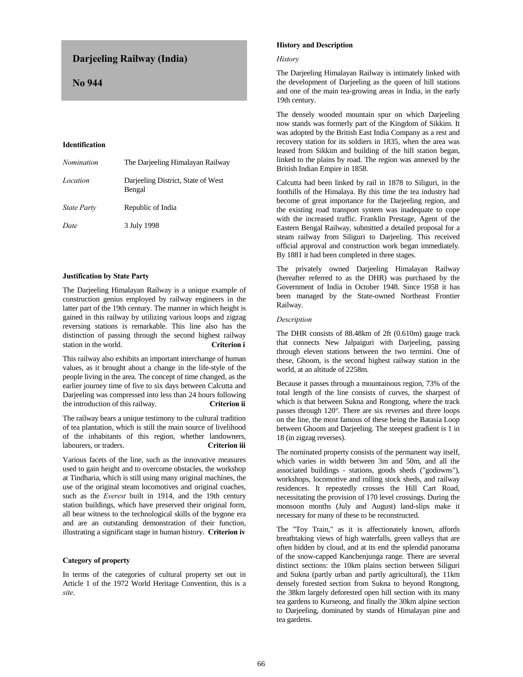# **Darjeeling Railway (India)**

 **No 944**

# **Identification**

| Nomination  | The Darjeeling Himalayan Railway             |
|-------------|----------------------------------------------|
| Location    | Darjeeling District, State of West<br>Bengal |
| State Party | Republic of India                            |
| Date        | 3 July 1998                                  |

# **Justification by State Party**

The Darjeeling Himalayan Railway is a unique example of construction genius employed by railway engineers in the latter part of the 19th century. The manner in which height is gained in this railway by utilizing various loops and zigzag reversing stations is remarkable. This line also has the distinction of passing through the second highest railway station in the world. **Criterion i**

This railway also exhibits an important interchange of human values, as it brought about a change in the life-style of the people living in the area. The concept of time changed, as the earlier journey time of five to six days between Calcutta and Darjeeling was compressed into less than 24 hours following the introduction of this railway. **Criterion ii**

The railway bears a unique testimony to the cultural tradition of tea plantation, which is still the main source of livelihood of the inhabitants of this region, whether landowners, labourers, or traders. **Criterion iii**

Various facets of the line, such as the innovative measures used to gain height and to overcome obstacles, the workshop at Tindharia, which is still using many original machines, the use of the original steam locomotives and original coaches, such as the *Everest* built in 1914, and the 19th century station buildings, which have preserved their original form, all bear witness to the technological skills of the bygone era and are an outstanding demonstration of their function, illustrating a significant stage in human history. **Criterion iv**

# **Category of property**

In terms of the categories of cultural property set out in Article 1 of the 1972 World Heritage Convention, this is a *site*.

# **History and Description**

#### *History*

The Darjeeling Himalayan Railway is intimately linked with the development of Darjeeling as the queen of hill stations and one of the main tea-growing areas in India, in the early 19th century.

The densely wooded mountain spur on which Darjeeling now stands was formerly part of the Kingdom of Sikkim. It was adopted by the British East India Company as a rest and recovery station for its soldiers in 1835, when the area was leased from Sikkim and building of the hill station began, linked to the plains by road. The region was annexed by the British Indian Empire in 1858.

Calcutta had been linked by rail in 1878 to Siliguri, in the foothills of the Himalaya. By this time the tea industry had become of great importance for the Darjeeling region, and the existing road transport system was inadequate to cope with the increased traffic. Franklin Prestage, Agent of the Eastern Bengal Railway, submitted a detailed proposal for a steam railway from Siliguri to Darjeeling. This received official approval and construction work began immediately. By 1881 it had been completed in three stages.

The privately owned Darjeeling Himalayan Railway (hereafter referred to as the DHR) was purchased by the Government of India in October 1948. Since 1958 it has been managed by the State-owned Northeast Frontier Railway.

#### *Description*

The DHR consists of 88.48km of 2ft (0.610m) gauge track that connects New Jalpaiguri with Darjeeling, passing through eleven stations between the two termini. One of these, Ghoom, is the second highest railway station in the world, at an altitude of 2258m.

Because it passes through a mountainous region, 73% of the total length of the line consists of curves, the sharpest of which is that between Sukna and Rongtong, where the track passes through 120°. There are six reverses and three loops on the line, the most famous of these being the Batasia Loop between Ghoom and Darjeeling. The steepest gradient is 1 in 18 (in zigzag reverses).

The nominated property consists of the permanent way itself, which varies in width between 3m and 50m, and all the associated buildings - stations, goods sheds ("godowns"), workshops, locomotive and rolling stock sheds, and railway residences. It repeatedly crosses the Hill Cart Road, necessitating the provision of 170 level crossings. During the monsoon months (July and August) land-slips make it necessary for many of these to be reconstructed.

The "Toy Train," as it is affectionately known, affords breathtaking views of high waterfalls, green valleys that are often hidden by cloud, and at its end the splendid panorama of the snow-capped Kanchenjunga range. There are several distinct sections: the 10km plains section between Siliguri and Sukna (partly urban and partly agricultural), the 11km densely forested section from Sukna to beyond Rongtong, the 38km largely deforested open hill section with its many tea gardens to Kurseong, and finally the 30km alpine section to Darjeeling, dominated by stands of Himalayan pine and tea gardens.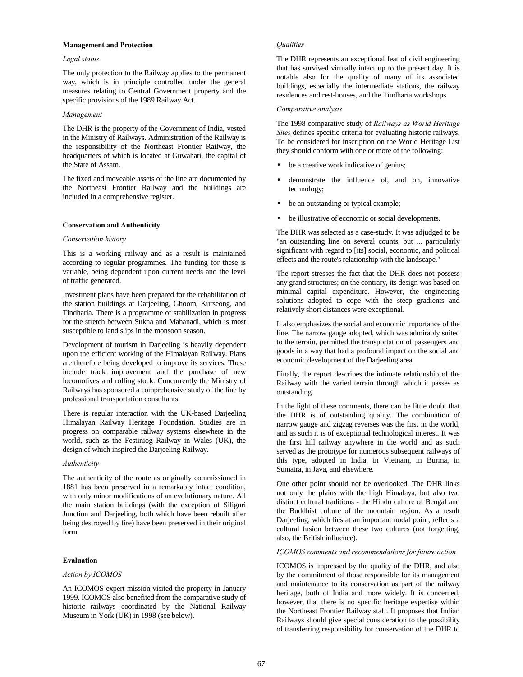#### **Management and Protection**

## *Legal status*

The only protection to the Railway applies to the permanent way, which is in principle controlled under the general measures relating to Central Government property and the specific provisions of the 1989 Railway Act.

# *Management*

The DHR is the property of the Government of India, vested in the Ministry of Railways. Administration of the Railway is the responsibility of the Northeast Frontier Railway, the headquarters of which is located at Guwahati, the capital of the State of Assam.

The fixed and moveable assets of the line are documented by the Northeast Frontier Railway and the buildings are included in a comprehensive register.

# **Conservation and Authenticity**

#### *Conservation history*

This is a working railway and as a result is maintained according to regular programmes. The funding for these is variable, being dependent upon current needs and the level of traffic generated.

Investment plans have been prepared for the rehabilitation of the station buildings at Darjeeling, Ghoom, Kurseong, and Tindharia. There is a programme of stabilization in progress for the stretch between Sukna and Mahanadi, which is most susceptible to land slips in the monsoon season.

Development of tourism in Darjeeling is heavily dependent upon the efficient working of the Himalayan Railway. Plans are therefore being developed to improve its services. These include track improvement and the purchase of new locomotives and rolling stock. Concurrently the Ministry of Railways has sponsored a comprehensive study of the line by professional transportation consultants.

There is regular interaction with the UK-based Darjeeling Himalayan Railway Heritage Foundation. Studies are in progress on comparable railway systems elsewhere in the world, such as the Festiniog Railway in Wales (UK), the design of which inspired the Darjeeling Railway.

## *Authenticity*

The authenticity of the route as originally commissioned in 1881 has been preserved in a remarkably intact condition, with only minor modifications of an evolutionary nature. All the main station buildings (with the exception of Siliguri Junction and Darjeeling, both which have been rebuilt after being destroyed by fire) have been preserved in their original form.

# **Evaluation**

#### *Action by ICOMOS*

An ICOMOS expert mission visited the property in January 1999. ICOMOS also benefited from the comparative study of historic railways coordinated by the National Railway Museum in York (UK) in 1998 (see below).

## *Qualities*

The DHR represents an exceptional feat of civil engineering that has survived virtually intact up to the present day. It is notable also for the quality of many of its associated buildings, especially the intermediate stations, the railway residences and rest-houses, and the Tindharia workshops

## *Comparative analysis*

The 1998 comparative study of *Railways as World Heritage Sites* defines specific criteria for evaluating historic railways. To be considered for inscription on the World Heritage List they should conform with one or more of the following:

- be a creative work indicative of genius;
- demonstrate the influence of, and on, innovative technology;
- be an outstanding or typical example;
- be illustrative of economic or social developments.

The DHR was selected as a case-study. It was adjudged to be "an outstanding line on several counts, but ... particularly significant with regard to [its] social, economic, and political effects and the route's relationship with the landscape."

The report stresses the fact that the DHR does not possess any grand structures; on the contrary, its design was based on minimal capital expenditure. However, the engineering solutions adopted to cope with the steep gradients and relatively short distances were exceptional.

It also emphasizes the social and economic importance of the line. The narrow gauge adopted, which was admirably suited to the terrain, permitted the transportation of passengers and goods in a way that had a profound impact on the social and economic development of the Darjeeling area.

Finally, the report describes the intimate relationship of the Railway with the varied terrain through which it passes as outstanding

In the light of these comments, there can be little doubt that the DHR is of outstanding quality. The combination of narrow gauge and zigzag reverses was the first in the world, and as such it is of exceptional technological interest. It was the first hill railway anywhere in the world and as such served as the prototype for numerous subsequent railways of this type, adopted in India, in Vietnam, in Burma, in Sumatra, in Java, and elsewhere.

One other point should not be overlooked. The DHR links not only the plains with the high Himalaya, but also two distinct cultural traditions - the Hindu culture of Bengal and the Buddhist culture of the mountain region. As a result Darjeeling, which lies at an important nodal point, reflects a cultural fusion between these two cultures (not forgetting, also, the British influence).

#### *ICOMOS comments and recommendations for future action*

ICOMOS is impressed by the quality of the DHR, and also by the commitment of those responsible for its management and maintenance to its conservation as part of the railway heritage, both of India and more widely. It is concerned, however, that there is no specific heritage expertise within the Northeast Frontier Railway staff. It proposes that Indian Railways should give special consideration to the possibility of transferring responsibility for conservation of the DHR to